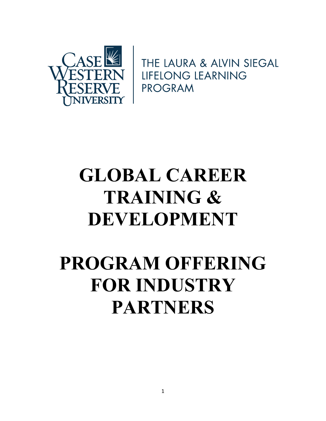

THE LAURA & ALVIN SIEGAL **LIFELONG LEARNING** PROGRAM

# GLOBAL CAREER TRAINING & DEVELOPMENT

# PROGRAM OFFERING FOR INDUSTRY PARTNERS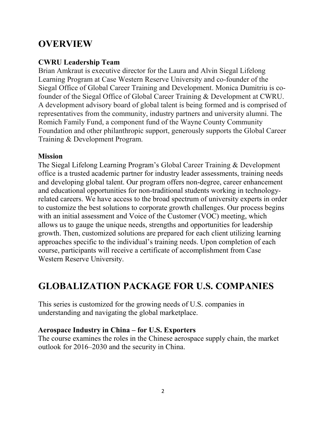# **OVERVIEW**

# CWRU Leadership Team

Brian Amkraut is executive director for the Laura and Alvin Siegal Lifelong Learning Program at Case Western Reserve University and co-founder of the Siegal Office of Global Career Training and Development. Monica Dumitriu is cofounder of the Siegal Office of Global Career Training & Development at CWRU. A development advisory board of global talent is being formed and is comprised of representatives from the community, industry partners and university alumni. The Romich Family Fund, a component fund of the Wayne County Community Foundation and other philanthropic support, generously supports the Global Career Training & Development Program.

# **Mission**

The Siegal Lifelong Learning Program's Global Career Training & Development office is a trusted academic partner for industry leader assessments, training needs and developing global talent. Our program offers non-degree, career enhancement and educational opportunities for non-traditional students working in technologyrelated careers. We have access to the broad spectrum of university experts in order to customize the best solutions to corporate growth challenges. Our process begins with an initial assessment and Voice of the Customer (VOC) meeting, which allows us to gauge the unique needs, strengths and opportunities for leadership growth. Then, customized solutions are prepared for each client utilizing learning approaches specific to the individual's training needs. Upon completion of each course, participants will receive a certificate of accomplishment from Case Western Reserve University.

# GLOBALIZATION PACKAGE FOR U.S. COMPANIES

This series is customized for the growing needs of U.S. companies in understanding and navigating the global marketplace.

# Aerospace Industry in China – for U.S. Exporters

The course examines the roles in the Chinese aerospace supply chain, the market outlook for 2016–2030 and the security in China.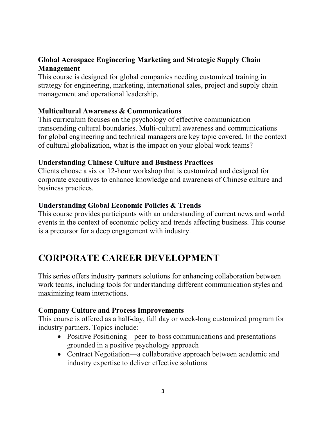# Global Aerospace Engineering Marketing and Strategic Supply Chain Management

This course is designed for global companies needing customized training in strategy for engineering, marketing, international sales, project and supply chain management and operational leadership.

#### Multicultural Awareness & Communications

This curriculum focuses on the psychology of effective communication transcending cultural boundaries. Multi-cultural awareness and communications for global engineering and technical managers are key topic covered. In the context of cultural globalization, what is the impact on your global work teams?

#### Understanding Chinese Culture and Business Practices

Clients choose a six or 12-hour workshop that is customized and designed for corporate executives to enhance knowledge and awareness of Chinese culture and business practices.

# Understanding Global Economic Policies & Trends

This course provides participants with an understanding of current news and world events in the context of economic policy and trends affecting business. This course is a precursor for a deep engagement with industry.

# CORPORATE CAREER DEVELOPMENT

This series offers industry partners solutions for enhancing collaboration between work teams, including tools for understanding different communication styles and maximizing team interactions.

# Company Culture and Process Improvements

This course is offered as a half-day, full day or week-long customized program for industry partners. Topics include:

- Positive Positioning—peer-to-boss communications and presentations grounded in a positive psychology approach
- Contract Negotiation—a collaborative approach between academic and industry expertise to deliver effective solutions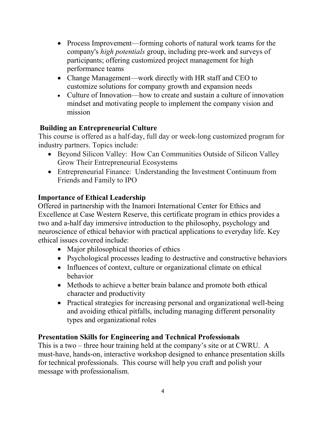- Process Improvement—forming cohorts of natural work teams for the company's high potentials group, including pre-work and surveys of participants; offering customized project management for high performance teams
- Change Management—work directly with HR staff and CEO to customize solutions for company growth and expansion needs
- Culture of Innovation—how to create and sustain a culture of innovation mindset and motivating people to implement the company vision and mission

# Building an Entrepreneurial Culture

This course is offered as a half-day, full day or week-long customized program for industry partners. Topics include:

- Beyond Silicon Valley: How Can Communities Outside of Silicon Valley Grow Their Entrepreneurial Ecosystems
- Entrepreneurial Finance: Understanding the Investment Continuum from Friends and Family to IPO

# Importance of Ethical Leadership

Offered in partnership with the Inamori International Center for Ethics and Excellence at Case Western Reserve, this certificate program in ethics provides a two and a-half day immersive introduction to the philosophy, psychology and neuroscience of ethical behavior with practical applications to everyday life. Key ethical issues covered include:

- Major philosophical theories of ethics
- Psychological processes leading to destructive and constructive behaviors
- Influences of context, culture or organizational climate on ethical behavior
- Methods to achieve a better brain balance and promote both ethical character and productivity
- Practical strategies for increasing personal and organizational well-being and avoiding ethical pitfalls, including managing different personality types and organizational roles

# Presentation Skills for Engineering and Technical Professionals

This is a two – three hour training held at the company's site or at CWRU. A must-have, hands-on, interactive workshop designed to enhance presentation skills for technical professionals. This course will help you craft and polish your message with professionalism.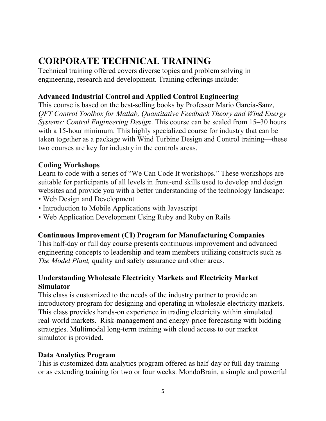# CORPORATE TECHNICAL TRAINING

Technical training offered covers diverse topics and problem solving in engineering, research and development. Training offerings include:

# Advanced Industrial Control and Applied Control Engineering

This course is based on the best-selling books by Professor Mario Garcia-Sanz, QFT Control Toolbox for Matlab, Quantitative Feedback Theory and Wind Energy Systems: Control Engineering Design. This course can be scaled from 15–30 hours with a 15-hour minimum. This highly specialized course for industry that can be taken together as a package with Wind Turbine Design and Control training—these two courses are key for industry in the controls areas.

# Coding Workshops

Learn to code with a series of "We Can Code It workshops." These workshops are suitable for participants of all levels in front-end skills used to develop and design websites and provide you with a better understanding of the technology landscape:

- Web Design and Development
- Introduction to Mobile Applications with Javascript
- Web Application Development Using Ruby and Ruby on Rails

#### Continuous Improvement (CI) Program for Manufacturing Companies

This half-day or full day course presents continuous improvement and advanced engineering concepts to leadership and team members utilizing constructs such as The Model Plant, quality and safety assurance and other areas.

# Understanding Wholesale Electricity Markets and Electricity Market **Simulator**

This class is customized to the needs of the industry partner to provide an introductory program for designing and operating in wholesale electricity markets. This class provides hands-on experience in trading electricity within simulated real-world markets. Risk-management and energy-price forecasting with bidding strategies. Multimodal long-term training with cloud access to our market simulator is provided.

# Data Analytics Program

This is customized data analytics program offered as half-day or full day training or as extending training for two or four weeks. MondoBrain, a simple and powerful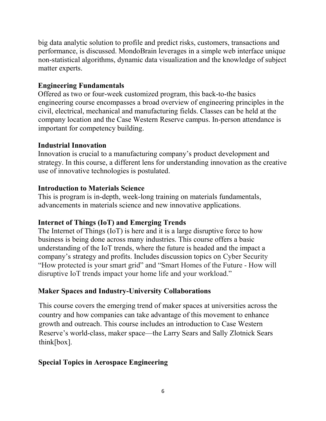big data analytic solution to profile and predict risks, customers, transactions and performance, is discussed. MondoBrain leverages in a simple web interface unique non-statistical algorithms, dynamic data visualization and the knowledge of subject matter experts.

# Engineering Fundamentals

Offered as two or four-week customized program, this back-to-the basics engineering course encompasses a broad overview of engineering principles in the civil, electrical, mechanical and manufacturing fields. Classes can be held at the company location and the Case Western Reserve campus. In-person attendance is important for competency building.

# Industrial Innovation

Innovation is crucial to a manufacturing company's product development and strategy. In this course, a different lens for understanding innovation as the creative use of innovative technologies is postulated.

# Introduction to Materials Science

This is program is in-depth, week-long training on materials fundamentals, advancements in materials science and new innovative applications.

# Internet of Things (IoT) and Emerging Trends

The Internet of Things (IoT) is here and it is a large disruptive force to how business is being done across many industries. This course offers a basic understanding of the IoT trends, where the future is headed and the impact a company's strategy and profits. Includes discussion topics on Cyber Security "How protected is your smart grid" and "Smart Homes of the Future - How will disruptive IoT trends impact your home life and your workload."

# Maker Spaces and Industry-University Collaborations

This course covers the emerging trend of maker spaces at universities across the country and how companies can take advantage of this movement to enhance growth and outreach. This course includes an introduction to Case Western Reserve's world-class, maker space—the Larry Sears and Sally Zlotnick Sears think[box].

# Special Topics in Aerospace Engineering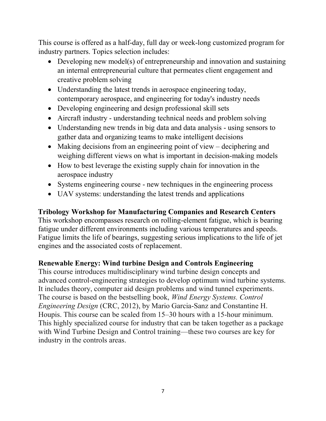This course is offered as a half-day, full day or week-long customized program for industry partners. Topics selection includes:

- Developing new model(s) of entrepreneurship and innovation and sustaining an internal entrepreneurial culture that permeates client engagement and creative problem solving
- Understanding the latest trends in aerospace engineering today, contemporary aerospace, and engineering for today's industry needs
- Developing engineering and design professional skill sets
- Aircraft industry understanding technical needs and problem solving
- Understanding new trends in big data and data analysis using sensors to gather data and organizing teams to make intelligent decisions
- Making decisions from an engineering point of view deciphering and weighing different views on what is important in decision-making models
- How to best leverage the existing supply chain for innovation in the aerospace industry
- Systems engineering course new techniques in the engineering process
- UAV systems: understanding the latest trends and applications

# Tribology Workshop for Manufacturing Companies and Research Centers

This workshop encompasses research on rolling-element fatigue, which is bearing fatigue under different environments including various temperatures and speeds. Fatigue limits the life of bearings, suggesting serious implications to the life of jet engines and the associated costs of replacement.

# Renewable Energy: Wind turbine Design and Controls Engineering

This course introduces multidisciplinary wind turbine design concepts and advanced control-engineering strategies to develop optimum wind turbine systems. It includes theory, computer aid design problems and wind tunnel experiments. The course is based on the bestselling book, Wind Energy Systems. Control Engineering Design (CRC, 2012), by Mario Garcia-Sanz and Constantine H. Houpis. This course can be scaled from 15–30 hours with a 15-hour minimum. This highly specialized course for industry that can be taken together as a package with Wind Turbine Design and Control training—these two courses are key for industry in the controls areas.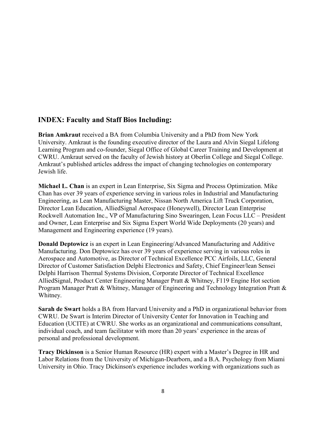#### INDEX: Faculty and Staff Bios Including:

Brian Amkraut received a BA from Columbia University and a PhD from New York University. Amkraut is the founding executive director of the Laura and Alvin Siegal Lifelong Learning Program and co-founder, Siegal Office of Global Career Training and Development at CWRU. Amkraut served on the faculty of Jewish history at Oberlin College and Siegal College. Amkraut's published articles address the impact of changing technologies on contemporary Jewish life.

Michael L. Chan is an expert in Lean Enterprise, Six Sigma and Process Optimization. Mike Chan has over 39 years of experience serving in various roles in Industrial and Manufacturing Engineering, as Lean Manufacturing Master, Nissan North America Lift Truck Corporation, Director Lean Education, AlliedSignal Aerospace (Honeywell), Director Lean Enterprise Rockwell Automation Inc., VP of Manufacturing Sino Swearingen, Lean Focus LLC – President and Owner, Lean Enterprise and Six Sigma Expert World Wide Deployments (20 years) and Management and Engineering experience (19 years).

Donald Deptowicz is an expert in Lean Engineering/Advanced Manufacturing and Additive Manufacturing. Don Deptowicz has over 39 years of experience serving in various roles in Aerospace and Automotive, as Director of Technical Excellence PCC Airfoils, LLC, General Director of Customer Satisfaction Delphi Electronics and Safety, Chief Engineer/lean Sensei Delphi Harrison Thermal Systems Division, Corporate Director of Technical Excellence AlliedSignal, Product Center Engineering Manager Pratt & Whitney, F119 Engine Hot section Program Manager Pratt & Whitney, Manager of Engineering and Technology Integration Pratt & Whitney.

Sarah de Swart holds a BA from Harvard University and a PhD in organizational behavior from CWRU. De Swart is Interim Director of University Center for Innovation in Teaching and Education (UCITE) at CWRU. She works as an organizational and communications consultant, individual coach, and team facilitator with more than 20 years' experience in the areas of personal and professional development.

Tracy Dickinson is a Senior Human Resource (HR) expert with a Master's Degree in HR and Labor Relations from the University of Michigan-Dearborn, and a B.A. Psychology from Miami University in Ohio. Tracy Dickinson's experience includes working with organizations such as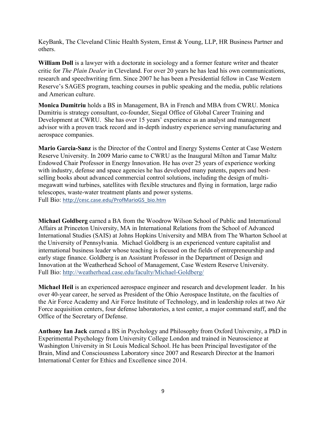KeyBank, The Cleveland Clinic Health System, Ernst & Young, LLP, HR Business Partner and others.

William Doll is a lawyer with a doctorate in sociology and a former feature writer and theater critic for The Plain Dealer in Cleveland. For over 20 years he has lead his own communications, research and speechwriting firm. Since 2007 he has been a Presidential fellow in Case Western Reserve's SAGES program, teaching courses in public speaking and the media, public relations and American culture.

Monica Dumitriu holds a BS in Management, BA in French and MBA from CWRU. Monica Dumitriu is strategy consultant, co-founder, Siegal Office of Global Career Training and Development at CWRU. She has over 15 years' experience as an analyst and management advisor with a proven track record and in-depth industry experience serving manufacturing and aerospace companies.

Mario Garcia-Sanz is the Director of the Control and Energy Systems Center at Case Western Reserve University. In 2009 Mario came to CWRU as the Inaugural Milton and Tamar Maltz Endowed Chair Professor in Energy Innovation. He has over 25 years of experience working with industry, defense and space agencies he has developed many patents, papers and bestselling books about advanced commercial control solutions, including the design of multimegawatt wind turbines, satellites with flexible structures and flying in formation, large radio telescopes, waste-water treatment plants and power systems. Full Bio: http://cesc.case.edu/ProfMarioGS\_bio.htm

Michael Goldberg earned a BA from the Woodrow Wilson School of Public and International Affairs at Princeton University, MA in International Relations from the School of Advanced International Studies (SAIS) at Johns Hopkins University and MBA from The Wharton School at the University of Pennsylvania. Michael Goldberg is an experienced venture capitalist and international business leader whose teaching is focused on the fields of entrepreneurship and early stage finance. Goldberg is an Assistant Professor in the Department of Design and Innovation at the Weatherhead School of Management, Case Western Reserve University. Full Bio: http://weatherhead.case.edu/faculty/Michael-Goldberg/

Michael Heil is an experienced aerospace engineer and research and development leader. In his over 40-year career, he served as President of the Ohio Aerospace Institute, on the faculties of the Air Force Academy and Air Force Institute of Technology, and in leadership roles at two Air Force acquisition centers, four defense laboratories, a test center, a major command staff, and the Office of the Secretary of Defense.

Anthony Ian Jack earned a BS in Psychology and Philosophy from Oxford University, a PhD in Experimental Psychology from University College London and trained in Neuroscience at Washington University in St Louis Medical School. He has been Principal Investigator of the Brain, Mind and Consciousness Laboratory since 2007 and Research Director at the Inamori International Center for Ethics and Excellence since 2014.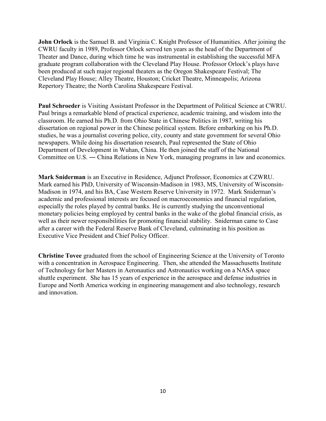John Orlock is the Samuel B. and Virginia C. Knight Professor of Humanities. After joining the CWRU faculty in 1989, Professor Orlock served ten years as the head of the Department of Theater and Dance, during which time he was instrumental in establishing the successful MFA graduate program collaboration with the Cleveland Play House. Professor Orlock's plays have been produced at such major regional theaters as the Oregon Shakespeare Festival; The Cleveland Play House; Alley Theatre, Houston; Cricket Theatre, Minneapolis; Arizona Repertory Theatre; the North Carolina Shakespeare Festival.

Paul Schroeder is Visiting Assistant Professor in the Department of Political Science at CWRU. Paul brings a remarkable blend of practical experience, academic training, and wisdom into the classroom. He earned his Ph.D. from Ohio State in Chinese Politics in 1987, writing his dissertation on regional power in the Chinese political system. Before embarking on his Ph.D. studies, he was a journalist covering police, city, county and state government for several Ohio newspapers. While doing his dissertation research, Paul represented the State of Ohio Department of Development in Wuhan, China. He then joined the staff of the National Committee on U.S. ― China Relations in New York, managing programs in law and economics.

Mark Sniderman is an Executive in Residence, Adjunct Professor, Economics at CZWRU. Mark earned his PhD, University of Wisconsin-Madison in 1983, MS, University of Wisconsin-Madison in 1974, and his BA, Case Western Reserve University in 1972. Mark Sniderman's academic and professional interests are focused on macroeconomics and financial regulation, especially the roles played by central banks. He is currently studying the unconventional monetary policies being employed by central banks in the wake of the global financial crisis, as well as their newer responsibilities for promoting financial stability. Sniderman came to Case after a career with the Federal Reserve Bank of Cleveland, culminating in his position as Executive Vice President and Chief Policy Officer.

Christine Tovee graduated from the school of Engineering Science at the University of Toronto with a concentration in Aerospace Engineering. Then, she attended the Massachusetts Institute of Technology for her Masters in Aeronautics and Astronautics working on a NASA space shuttle experiment. She has 15 years of experience in the aerospace and defense industries in Europe and North America working in engineering management and also technology, research and innovation.